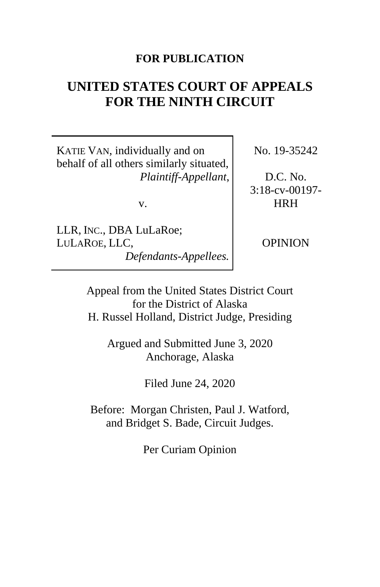## **FOR PUBLICATION**

# **UNITED STATES COURT OF APPEALS FOR THE NINTH CIRCUIT**

KATIE VAN, individually and on behalf of all others similarly situated, *Plaintiff-Appellant*,

v.

LLR, INC., DBA LuLaRoe; LULAROE, LLC, *Defendants-Appellees.* No. 19-35242

D.C. No. 3:18-cv-00197- HRH

OPINION

Appeal from the United States District Court for the District of Alaska H. Russel Holland, District Judge, Presiding

Argued and Submitted June 3, 2020 Anchorage, Alaska

Filed June 24, 2020

Before: Morgan Christen, Paul J. Watford, and Bridget S. Bade, Circuit Judges.

Per Curiam Opinion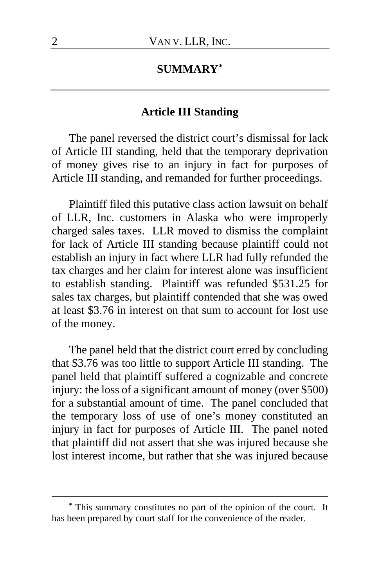# **SUMMARY[\\*](#page-1-0)**

## **Article III Standing**

The panel reversed the district court's dismissal for lack of Article III standing, held that the temporary deprivation of money gives rise to an injury in fact for purposes of Article III standing, and remanded for further proceedings.

Plaintiff filed this putative class action lawsuit on behalf of LLR, Inc. customers in Alaska who were improperly charged sales taxes. LLR moved to dismiss the complaint for lack of Article III standing because plaintiff could not establish an injury in fact where LLR had fully refunded the tax charges and her claim for interest alone was insufficient to establish standing. Plaintiff was refunded \$531.25 for sales tax charges, but plaintiff contended that she was owed at least \$3.76 in interest on that sum to account for lost use of the money.

The panel held that the district court erred by concluding that \$3.76 was too little to support Article III standing. The panel held that plaintiff suffered a cognizable and concrete injury: the loss of a significant amount of money (over \$500) for a substantial amount of time. The panel concluded that the temporary loss of use of one's money constituted an injury in fact for purposes of Article III. The panel noted that plaintiff did not assert that she was injured because she lost interest income, but rather that she was injured because

<span id="page-1-0"></span>**<sup>\*</sup>** This summary constitutes no part of the opinion of the court. It has been prepared by court staff for the convenience of the reader.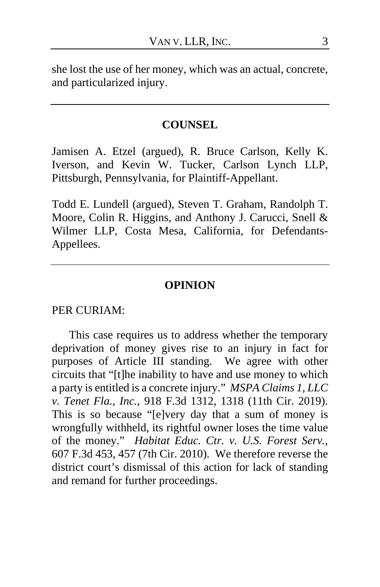she lost the use of her money, which was an actual, concrete, and particularized injury.

## **COUNSEL**

Jamisen A. Etzel (argued), R. Bruce Carlson, Kelly K. Iverson, and Kevin W. Tucker, Carlson Lynch LLP, Pittsburgh, Pennsylvania, for Plaintiff-Appellant.

Todd E. Lundell (argued), Steven T. Graham, Randolph T. Moore, Colin R. Higgins, and Anthony J. Carucci, Snell & Wilmer LLP, Costa Mesa, California, for Defendants-Appellees.

## **OPINION**

#### PER CURIAM:

This case requires us to address whether the temporary deprivation of money gives rise to an injury in fact for purposes of Article III standing. We agree with other circuits that "[t]he inability to have and use money to which a party is entitled is a concrete injury." *MSPA Claims 1, LLC v. Tenet Fla., Inc.*, 918 F.3d 1312, 1318 (11th Cir. 2019). This is so because "[e]very day that a sum of money is wrongfully withheld, its rightful owner loses the time value of the money." *Habitat Educ. Ctr. v. U.S. Forest Serv.*, 607 F.3d 453, 457 (7th Cir. 2010). We therefore reverse the district court's dismissal of this action for lack of standing and remand for further proceedings.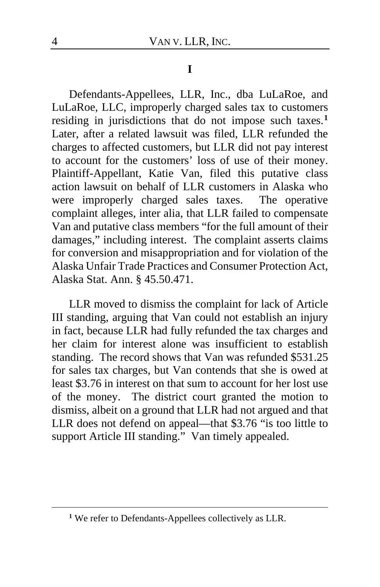#### **I**

Defendants-Appellees, LLR, Inc., dba LuLaRoe, and LuLaRoe, LLC, improperly charged sales tax to customers residing in jurisdictions that do not impose such taxes.**[1](#page-3-0)** Later, after a related lawsuit was filed, LLR refunded the charges to affected customers, but LLR did not pay interest to account for the customers' loss of use of their money. Plaintiff-Appellant, Katie Van, filed this putative class action lawsuit on behalf of LLR customers in Alaska who were improperly charged sales taxes.The operative complaint alleges, inter alia, that LLR failed to compensate Van and putative class members "for the full amount of their damages," including interest.The complaint asserts claims for conversion and misappropriation and for violation of the Alaska Unfair Trade Practices and Consumer Protection Act, Alaska Stat. Ann. § 45.50.471.

LLR moved to dismiss the complaint for lack of Article III standing, arguing that Van could not establish an injury in fact, because LLR had fully refunded the tax charges and her claim for interest alone was insufficient to establish standing. The record shows that Van was refunded \$531.25 for sales tax charges, but Van contends that she is owed at least \$3.76 in interest on that sum to account for her lost use of the money.The district court granted the motion to dismiss, albeit on a ground that LLR had not argued and that LLR does not defend on appeal—that \$3.76 "is too little to support Article III standing."Van timely appealed.

<span id="page-3-0"></span>**<sup>1</sup>** We refer to Defendants-Appellees collectively as LLR.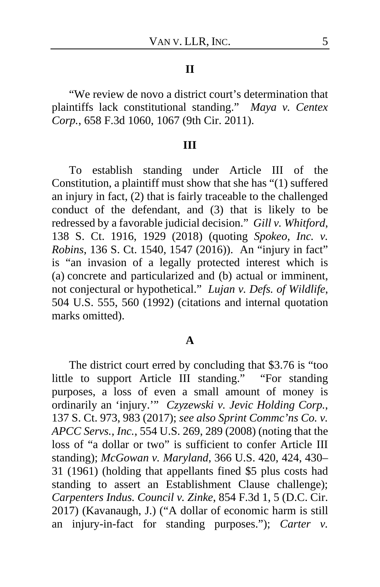#### **II**

"We review de novo a district court's determination that plaintiffs lack constitutional standing." *Maya v. Centex Corp.*, 658 F.3d 1060, 1067 (9th Cir. 2011).

#### **III**

To establish standing under Article III of the Constitution, a plaintiff must show that she has "(1) suffered an injury in fact, (2) that is fairly traceable to the challenged conduct of the defendant, and (3) that is likely to be redressed by a favorable judicial decision." *Gill v. Whitford*, 138 S. Ct. 1916, 1929 (2018) (quoting *Spokeo, Inc. v. Robins*, 136 S. Ct. 1540, 1547 (2016)). An "injury in fact" is "an invasion of a legally protected interest which is (a) concrete and particularized and (b) actual or imminent, not conjectural or hypothetical." *Lujan v. Defs. of Wildlife*, 504 U.S. 555, 560 (1992) (citations and internal quotation marks omitted).

#### **A**

The district court erred by concluding that \$3.76 is "too little to support Article III standing.""For standing purposes, a loss of even a small amount of money is ordinarily an 'injury.'" *Czyzewski v. Jevic Holding Corp.*, 137 S. Ct. 973, 983 (2017); *see also Sprint Commc'ns Co. v. APCC Servs., Inc.*, 554 U.S. 269, 289 (2008) (noting that the loss of "a dollar or two" is sufficient to confer Article III standing); *McGowan v. Maryland*, 366 U.S. 420, 424, 430– 31 (1961) (holding that appellants fined \$5 plus costs had standing to assert an Establishment Clause challenge); *Carpenters Indus. Council v. Zinke*, 854 F.3d 1, 5 (D.C. Cir. 2017) (Kavanaugh, J.) ("A dollar of economic harm is still an injury-in-fact for standing purposes."); *Carter v.*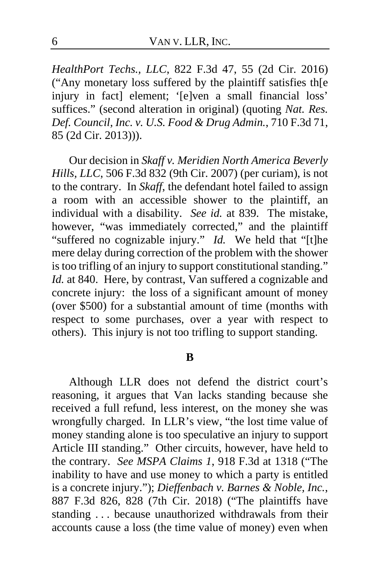*HealthPort Techs., LLC*, 822 F.3d 47, 55 (2d Cir. 2016) ("Any monetary loss suffered by the plaintiff satisfies th[e injury in fact] element; '[e]ven a small financial loss' suffices." (second alteration in original) (quoting *Nat. Res. Def. Council, Inc. v. U.S. Food & Drug Admin.*, 710 F.3d 71, 85 (2d Cir. 2013))).

Our decision in *Skaff v. Meridien North America Beverly Hills, LLC*, 506 F.3d 832 (9th Cir. 2007) (per curiam), is not to the contrary. In *Skaff*, the defendant hotel failed to assign a room with an accessible shower to the plaintiff, an individual with a disability. *See id.* at 839. The mistake, however, "was immediately corrected," and the plaintiff "suffered no cognizable injury." *Id.* We held that "[t]he mere delay during correction of the problem with the shower is too trifling of an injury to support constitutional standing." *Id.* at 840. Here, by contrast, Van suffered a cognizable and concrete injury: the loss of a significant amount of money (over \$500) for a substantial amount of time (months with respect to some purchases, over a year with respect to others). This injury is not too trifling to support standing.

#### **B**

Although LLR does not defend the district court's reasoning, it argues that Van lacks standing because she received a full refund, less interest, on the money she was wrongfully charged. In LLR's view, "the lost time value of money standing alone is too speculative an injury to support Article III standing." Other circuits, however, have held to the contrary. *See MSPA Claims 1*, 918 F.3d at 1318 ("The inability to have and use money to which a party is entitled is a concrete injury."); *Dieffenbach v. Barnes & Noble, Inc.*, 887 F.3d 826, 828 (7th Cir. 2018) ("The plaintiffs have standing ... because unauthorized withdrawals from their accounts cause a loss (the time value of money) even when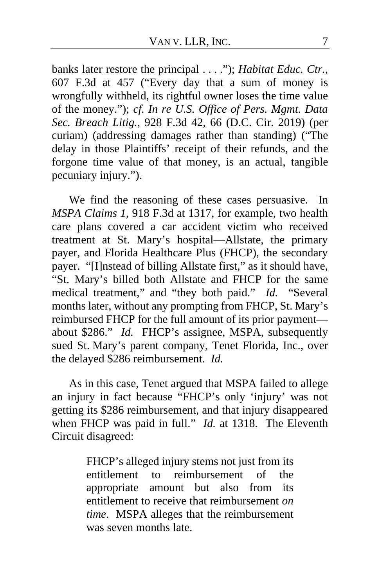banks later restore the principal . . . ."); *Habitat Educ. Ctr.*, 607 F.3d at 457 ("Every day that a sum of money is wrongfully withheld, its rightful owner loses the time value of the money."); *cf. In re U.S. Office of Pers. Mgmt. Data Sec. Breach Litig.*, 928 F.3d 42, 66 (D.C. Cir. 2019) (per curiam) (addressing damages rather than standing) ("The delay in those Plaintiffs' receipt of their refunds, and the forgone time value of that money, is an actual, tangible pecuniary injury.").

We find the reasoning of these cases persuasive. In *MSPA Claims 1*, 918 F.3d at 1317, for example, two health care plans covered a car accident victim who received treatment at St. Mary's hospital—Allstate, the primary payer, and Florida Healthcare Plus (FHCP), the secondary payer. "[I]nstead of billing Allstate first," as it should have, "St. Mary's billed both Allstate and FHCP for the same medical treatment," and "they both paid." *Id.* "Several months later, without any prompting from FHCP, St. Mary's reimbursed FHCP for the full amount of its prior payment about \$286." *Id.* FHCP's assignee, MSPA, subsequently sued St. Mary's parent company, Tenet Florida, Inc., over the delayed \$286 reimbursement. *Id.*

As in this case, Tenet argued that MSPA failed to allege an injury in fact because "FHCP's only 'injury' was not getting its \$286 reimbursement, and that injury disappeared when FHCP was paid in full." *Id.* at 1318. The Eleventh Circuit disagreed:

> FHCP's alleged injury stems not just from its entitlement to reimbursement of the appropriate amount but also from its entitlement to receive that reimbursement *on time*. MSPA alleges that the reimbursement was seven months late.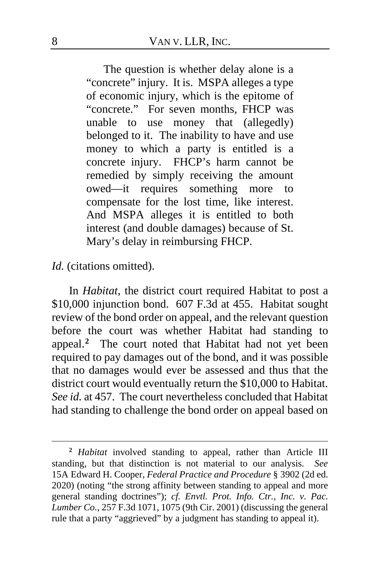The question is whether delay alone is a "concrete" injury. It is. MSPA alleges a type of economic injury, which is the epitome of "concrete." For seven months, FHCP was unable to use money that (allegedly) belonged to it. The inability to have and use money to which a party is entitled is a concrete injury. FHCP's harm cannot be remedied by simply receiving the amount owed—it requires something more to compensate for the lost time, like interest. And MSPA alleges it is entitled to both interest (and double damages) because of St. Mary's delay in reimbursing FHCP.

*Id.* (citations omitted).

In *Habitat*, the district court required Habitat to post a \$10,000 injunction bond. 607 F.3d at 455. Habitat sought review of the bond order on appeal, and the relevant question before the court was whether Habitat had standing to appeal.**[2](#page-7-0)** The court noted that Habitat had not yet been required to pay damages out of the bond, and it was possible that no damages would ever be assessed and thus that the district court would eventually return the \$10,000 to Habitat. *See id.* at 457. The court nevertheless concluded that Habitat had standing to challenge the bond order on appeal based on

<span id="page-7-0"></span>**<sup>2</sup>** *Habitat* involved standing to appeal, rather than Article III standing, but that distinction is not material to our analysis. *See* 15A Edward H. Cooper, *Federal Practice and Procedure* § 3902 (2d ed. 2020) (noting "the strong affinity between standing to appeal and more general standing doctrines"); *cf. Envtl. Prot. Info. Ctr., Inc. v. Pac. Lumber Co.*, 257 F.3d 1071, 1075 (9th Cir. 2001) (discussing the general rule that a party "aggrieved" by a judgment has standing to appeal it).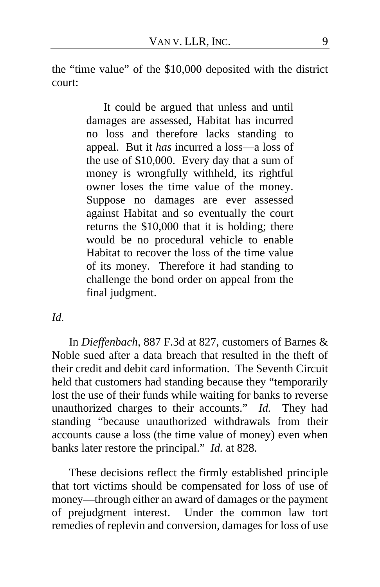the "time value" of the \$10,000 deposited with the district court:

> It could be argued that unless and until damages are assessed, Habitat has incurred no loss and therefore lacks standing to appeal. But it *has* incurred a loss—a loss of the use of \$10,000. Every day that a sum of money is wrongfully withheld, its rightful owner loses the time value of the money. Suppose no damages are ever assessed against Habitat and so eventually the court returns the \$10,000 that it is holding; there would be no procedural vehicle to enable Habitat to recover the loss of the time value of its money. Therefore it had standing to challenge the bond order on appeal from the final judgment.

*Id.*

In *Dieffenbach*, 887 F.3d at 827, customers of Barnes & Noble sued after a data breach that resulted in the theft of their credit and debit card information. The Seventh Circuit held that customers had standing because they "temporarily lost the use of their funds while waiting for banks to reverse unauthorized charges to their accounts." *Id.* They had standing "because unauthorized withdrawals from their accounts cause a loss (the time value of money) even when banks later restore the principal." *Id.* at 828.

These decisions reflect the firmly established principle that tort victims should be compensated for loss of use of money—through either an award of damages or the payment of prejudgment interest. Under the common law tort remedies of replevin and conversion, damages for loss of use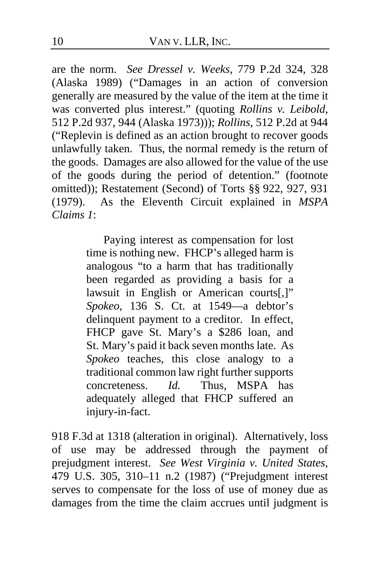are the norm. *See Dressel v. Weeks*, 779 P.2d 324, 328 (Alaska 1989) ("Damages in an action of conversion generally are measured by the value of the item at the time it was converted plus interest." (quoting *Rollins v. Leibold*, 512 P.2d 937, 944 (Alaska 1973))); *Rollins*, 512 P.2d at 944 ("Replevin is defined as an action brought to recover goods unlawfully taken. Thus, the normal remedy is the return of the goods. Damages are also allowed for the value of the use of the goods during the period of detention." (footnote omitted)); Restatement (Second) of Torts §§ 922, 927, 931 (1979). As the Eleventh Circuit explained in *MSPA Claims 1*:

> Paying interest as compensation for lost time is nothing new. FHCP's alleged harm is analogous "to a harm that has traditionally been regarded as providing a basis for a lawsuit in English or American courts[,]" *Spokeo*, 136 S. Ct. at 1549—a debtor's delinquent payment to a creditor. In effect, FHCP gave St. Mary's a \$286 loan, and St. Mary's paid it back seven months late. As *Spokeo* teaches, this close analogy to a traditional common law right further supports concreteness. *Id.* Thus, MSPA has adequately alleged that FHCP suffered an injury-in-fact.

918 F.3d at 1318 (alteration in original). Alternatively, loss of use may be addressed through the payment of prejudgment interest. *See West Virginia v. United States*, 479 U.S. 305, 310–11 n.2 (1987) ("Prejudgment interest serves to compensate for the loss of use of money due as damages from the time the claim accrues until judgment is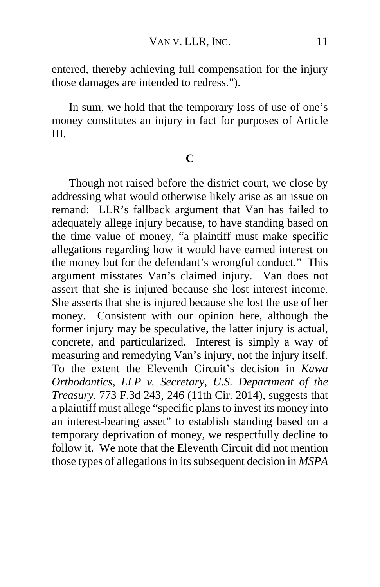entered, thereby achieving full compensation for the injury those damages are intended to redress.").

In sum, we hold that the temporary loss of use of one's money constitutes an injury in fact for purposes of Article III.

## **C**

Though not raised before the district court, we close by addressing what would otherwise likely arise as an issue on remand: LLR's fallback argument that Van has failed to adequately allege injury because, to have standing based on the time value of money, "a plaintiff must make specific allegations regarding how it would have earned interest on the money but for the defendant's wrongful conduct."This argument misstates Van's claimed injury. Van does not assert that she is injured because she lost interest income. She asserts that she is injured because she lost the use of her money. Consistent with our opinion here, although the former injury may be speculative, the latter injury is actual, concrete, and particularized. Interest is simply a way of measuring and remedying Van's injury, not the injury itself. To the extent the Eleventh Circuit's decision in *Kawa Orthodontics, LLP v. Secretary, U.S. Department of the Treasury*, 773 F.3d 243, 246 (11th Cir. 2014), suggests that a plaintiff must allege "specific plans to invest its money into an interest-bearing asset" to establish standing based on a temporary deprivation of money, we respectfully decline to follow it. We note that the Eleventh Circuit did not mention those types of allegations in its subsequent decision in *MSPA*